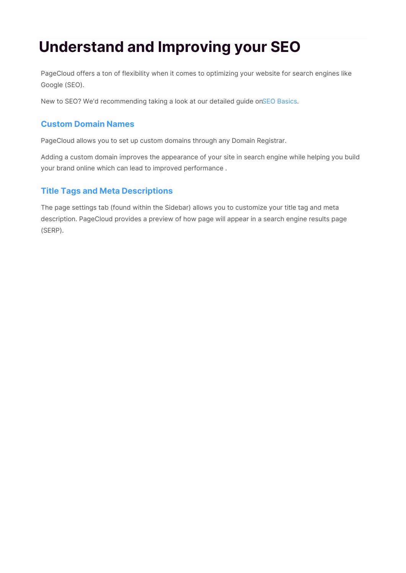# **Understand and Improving your SEO**

PageCloud offers a ton of flexibility when it comes to optimizing your website for search engines like Google (SEO).

New to SEO? We'd recommending taking a look at our detailed guide onSEO Basics.

# **Custom Domain Names**

PageCloud allows you to set up custom domains through any Domain Registrar.

Adding a custom domain improves the appearance of your site in search engine while helping you build your brand online which can lead to improved performance .

# **Title Tags and Meta Descriptions**

The page settings tab (found within the Sidebar) allows you to customize your title tag and meta description. PageCloud provides a preview of how page will appear in a search engine results page (SERP).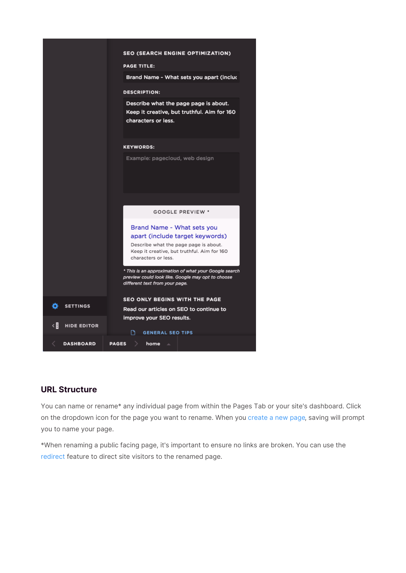

# **URL Structure**

You can name or rename\* any individual page from within the Pages Tab or your site's dashboard. Click on the dropdown icon for the page you want to rename. When you create a new page, saving will prompt you to name your page.

\*When renaming a public facing page, it's important to ensure no links are broken. You can use the redirect feature to direct site visitors to the renamed page.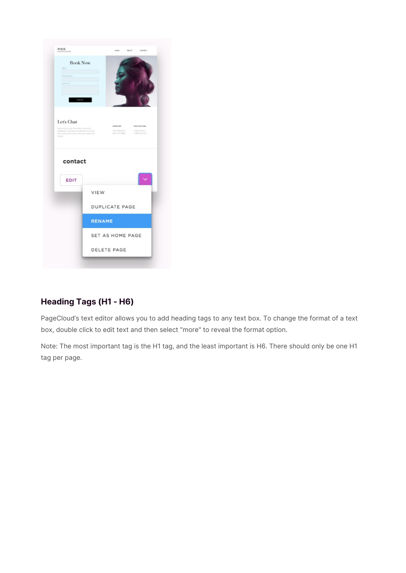

# **Heading Tags (H1 - H6)**

PageCloud's text editor allows you to add heading tags to any text box. To change the format of a text box, double click to edit text and then select "more" to reveal the format option.

Note: The most important tag is the H1 tag, and the least important is H6. There should only be one H1 tag per page.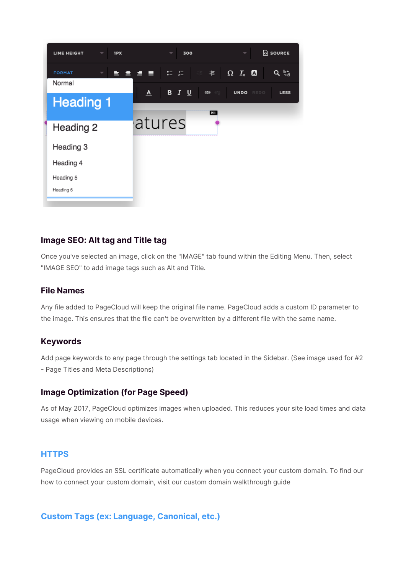

## **Image SEO: Alt tag and Title tag**

Once you've selected an image, click on the "IMAGE" tab found within the Editing Menu. Then, select "IMAGE SEO" to add image tags such as Alt and Title.

### **File Names**

Any file added to PageCloud will keep the original file name. PageCloud adds a custom ID parameter to the image. This ensures that the file can't be overwritten by a different file with the same name.

## **Keywords**

Add page keywords to any page through the settings tab located in the Sidebar. (See image used for #2 - Page Titles and Meta Descriptions)

## **Image Optimization (for Page Speed)**

As of May 2017, PageCloud optimizes images when uploaded. This reduces your site load times and data usage when viewing on mobile devices.

## **HTTPS**

PageCloud provides an SSL certificate automatically when you connect your custom domain. To find our how to connect your custom domain, visit our custom domain walkthrough guide

#### **Custom Tags (ex: Language, Canonical, etc.)**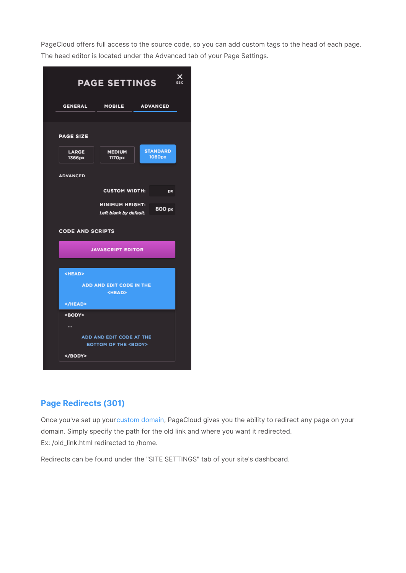PageCloud offers full access to the source code, so you can add custom tags to the head of each page. The head editor is located under the Advanced tab of your Page Settings.

| x<br><b>PAGE SETTINGS</b><br>ESC                               |                         |                           |  |  |  |  |  |
|----------------------------------------------------------------|-------------------------|---------------------------|--|--|--|--|--|
| <b>GENERAL</b>                                                 | <b>MOBILE</b>           | <b>ADVANCED</b>           |  |  |  |  |  |
|                                                                |                         |                           |  |  |  |  |  |
| <b>PAGE SIZE</b>                                               |                         |                           |  |  |  |  |  |
| LARGE<br>1366px                                                | <b>MEDIUM</b><br>1170px | <b>STANDARD</b><br>1080px |  |  |  |  |  |
| <b>ADVANCED</b>                                                |                         |                           |  |  |  |  |  |
| <b>CUSTOM WIDTH:</b><br>px                                     |                         |                           |  |  |  |  |  |
| <b>MINIMUM HEIGHT:</b><br>800 px<br>Left blank by default.     |                         |                           |  |  |  |  |  |
| <b>CODE AND SCRIPTS</b>                                        |                         |                           |  |  |  |  |  |
| <b>JAVASCRIPT EDITOR</b>                                       |                         |                           |  |  |  |  |  |
|                                                                |                         |                           |  |  |  |  |  |
| <head></head>                                                  |                         |                           |  |  |  |  |  |
| <b>ADD AND EDIT CODE IN THE</b><br><head></head>               |                         |                           |  |  |  |  |  |
|                                                                |                         |                           |  |  |  |  |  |
| <body></body>                                                  |                         |                           |  |  |  |  |  |
|                                                                |                         |                           |  |  |  |  |  |
| ADD AND EDIT CODE AT THE<br><b>BOTTOM OF THE <body></body></b> |                         |                           |  |  |  |  |  |
|                                                                |                         |                           |  |  |  |  |  |

# **Page Redirects (301)**

Once you've set up your custom domain, PageCloud gives you the ability to redirect any page on your domain. Simply specify the path for the old link and where you want it redirected. Ex: /old\_link.html redirected to /home.

Redirects can be found under the "SITE SETTINGS" tab of your site's dashboard.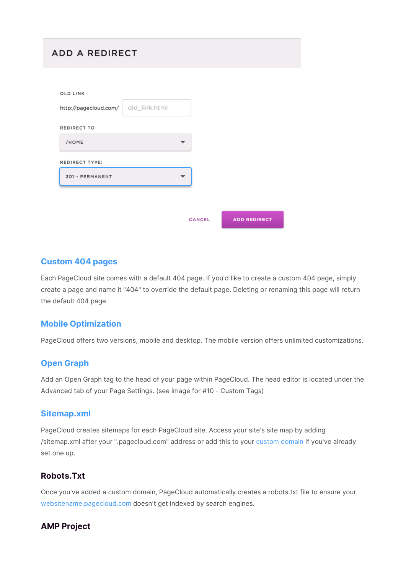# **ADD A REDIRECT**

| OLD LINK              |               |        |                     |
|-----------------------|---------------|--------|---------------------|
| http://pagecloud.com/ | old_link.html |        |                     |
| REDIRECT TO           |               |        |                     |
| /HOME                 |               |        |                     |
| REDIRECT TYPE:        |               |        |                     |
| 301 - PERMANENT       |               |        |                     |
|                       |               |        |                     |
|                       |               |        |                     |
|                       |               | CANCEL | <b>ADD REDIRECT</b> |

## **Custom 404 pages**

Each PageCloud site comes with a default 404 page. If you'd like to create a custom 404 page, simply create a page and name it "404" to override the default page. Deleting or renaming this page will return the default 404 page.

## **Mobile Optimization**

PageCloud offers two versions, mobile and desktop. The mobile version offers unlimited customizations.

## **Open Graph**

Add an Open Graph tag to the head of your page within PageCloud. The head editor is located under the Advanced tab of your Page Settings. (see image for #10 - Custom Tags)

#### **Sitemap.xml**

PageCloud creates sitemaps for each PageCloud site. Access your site's site map by adding /sitemap.xml after your ".pagecloud.com" address or add this to your custom domain if you've already set one up.

# **Robots.Txt**

Once you've added a custom domain, PageCloud automatically creates a robots.txt file to ensure your websitename.pagecloud.com doesn't get indexed by search engines.

## **AMP Project**